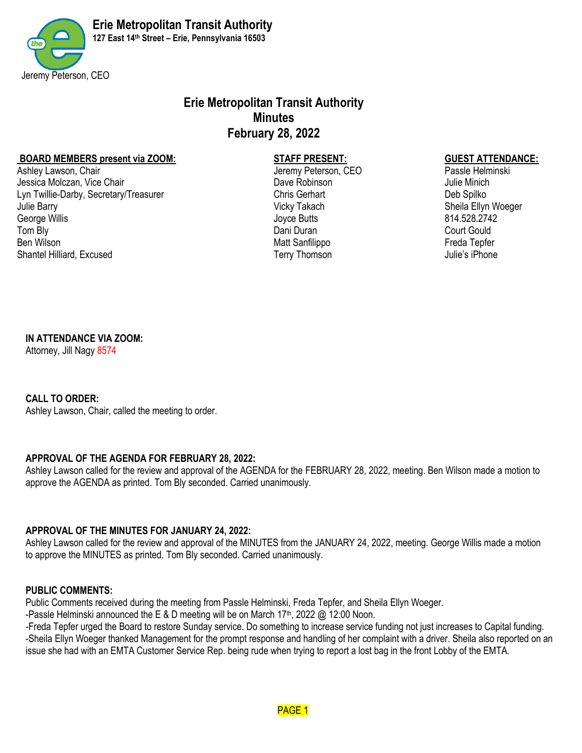

# **Erie Metropolitan Transit Authority Minutes February 28, 2022**

# **BOARD MEMBERS present via ZOOM: STAFF PRESENT: GUEST ATTENDANCE:**<br>Ashlev I awson Chair **Chair Guest Attenue in the State of CEO**

Ashley Lawson, Chair **Jeremy Peterson, CEO** Jessica Molczan, Vice Chair Dave Robinson Julie Minich Lyn Twillie-Darby, Secretary/Treasurer Chris Gerhart Chris Gerhart Chris Gerhart Deb Spilko Julie Barry **Sheila Ellyn Woeger** Sheila Ellyn Woeger George Willis Joyce Butts 814.528.2742 Tom Bly Court Gould Ben Wilson **Freda Tepfer Ben Wilson** Matt Sanfilippo **Freda Tepfer Freda Tepfer** Shantel Hilliard, Excused Terry Thomson Terry Thomson Julie's iPhone

# **IN ATTENDANCE VIA ZOOM:**

Attorney, Jill Nagy 8574

# **CALL TO ORDER:**

Ashley Lawson, Chair, called the meeting to order.

# **APPROVAL OF THE AGENDA FOR FEBRUARY 28, 2022:**

Ashley Lawson called for the review and approval of the AGENDA for the FEBRUARY 28, 2022, meeting. Ben Wilson made a motion to approve the AGENDA as printed. Tom Bly seconded. Carried unanimously.

# **APPROVAL OF THE MINUTES FOR JANUARY 24, 2022:**

Ashley Lawson called for the review and approval of the MINUTES from the JANUARY 24, 2022, meeting. George Willis made a motion to approve the MINUTES as printed. Tom Bly seconded. Carried unanimously.

# **PUBLIC COMMENTS:**

Public Comments received during the meeting from Passle Helminski, Freda Tepfer, and Sheila Ellyn Woeger.

-Passle Helminski announced the E & D meeting will be on March 17<sup>th</sup>, 2022 @ 12:00 Noon.

-Freda Tepfer urged the Board to restore Sunday service. Do something to increase service funding not just increases to Capital funding. -Sheila Ellyn Woeger thanked Management for the prompt response and handling of her complaint with a driver. Sheila also reported on an issue she had with an EMTA Customer Service Rep. being rude when trying to report a lost bag in the front Lobby of the EMTA.

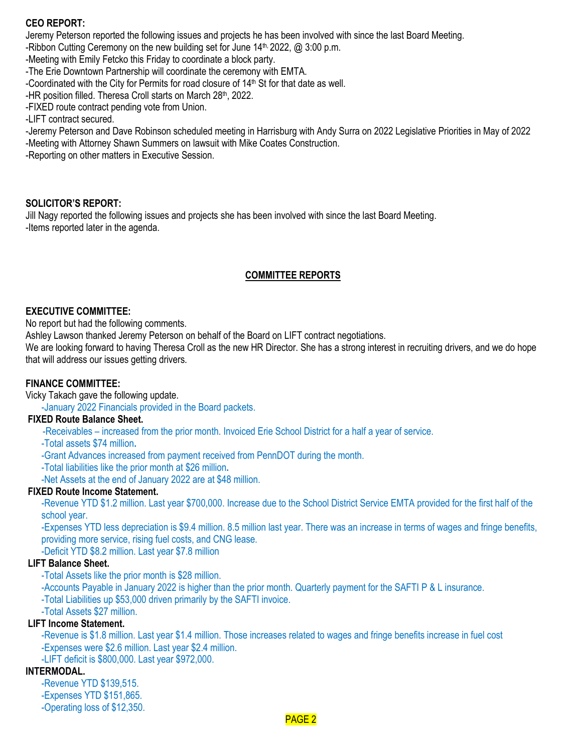# **CEO REPORT:**

Jeremy Peterson reported the following issues and projects he has been involved with since the last Board Meeting.

-Ribbon Cutting Ceremony on the new building set for June 14<sup>th, 2022</sup>, @ 3:00 p.m.

-Meeting with Emily Fetcko this Friday to coordinate a block party.

-The Erie Downtown Partnership will coordinate the ceremony with EMTA.

-Coordinated with the City for Permits for road closure of  $14<sup>th</sup>$  St for that date as well.

-HR position filled. Theresa Croll starts on March 28th, 2022.

-FIXED route contract pending vote from Union.

-LIFT contract secured.

-Jeremy Peterson and Dave Robinson scheduled meeting in Harrisburg with Andy Surra on 2022 Legislative Priorities in May of 2022 -Meeting with Attorney Shawn Summers on lawsuit with Mike Coates Construction.

-Reporting on other matters in Executive Session.

#### **SOLICITOR'S REPORT:**

Jill Nagy reported the following issues and projects she has been involved with since the last Board Meeting. -Items reported later in the agenda.

#### **COMMITTEE REPORTS**

### **EXECUTIVE COMMITTEE:**

No report but had the following comments.

Ashley Lawson thanked Jeremy Peterson on behalf of the Board on LIFT contract negotiations.

We are looking forward to having Theresa Croll as the new HR Director. She has a strong interest in recruiting drivers, and we do hope that will address our issues getting drivers.

#### **FINANCE COMMITTEE:**

Vicky Takach gave the following update.

-January 2022 Financials provided in the Board packets.

## **FIXED Route Balance Sheet.**

-Receivables – increased from the prior month. Invoiced Erie School District for a half a year of service.

- -Total assets \$74 million**.**
- -Grant Advances increased from payment received from PennDOT during the month.
- -Total liabilities like the prior month at \$26 million**.**

-Net Assets at the end of January 2022 are at \$48 million.

#### **FIXED Route Income Statement.**

-Revenue YTD \$1.2 million. Last year \$700,000. Increase due to the School District Service EMTA provided for the first half of the school year.

-Expenses YTD less depreciation is \$9.4 million. 8.5 million last year. There was an increase in terms of wages and fringe benefits, providing more service, rising fuel costs, and CNG lease.

-Deficit YTD \$8.2 million. Last year \$7.8 million

#### **LIFT Balance Sheet.**

-Total Assets like the prior month is \$28 million.

-Accounts Payable in January 2022 is higher than the prior month. Quarterly payment for the SAFTI P & L insurance.

-Total Liabilities up \$53,000 driven primarily by the SAFTI invoice.

-Total Assets \$27 million.

#### **LIFT Income Statement.**

-Revenue is \$1.8 million. Last year \$1.4 million. Those increases related to wages and fringe benefits increase in fuel cost -Expenses were \$2.6 million. Last year \$2.4 million.

-LIFT deficit is \$800,000. Last year \$972,000.

#### **INTERMODAL.**

-Revenue YTD \$139,515. -Expenses YTD \$151,865. -Operating loss of \$12,350.

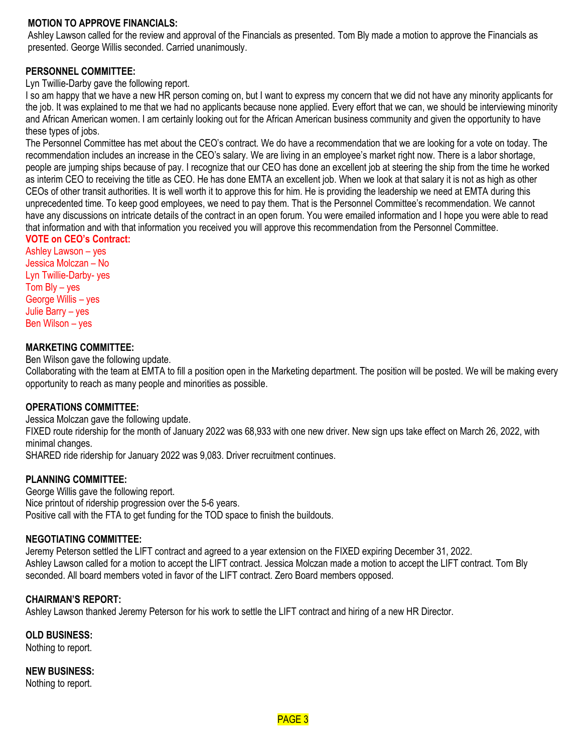### **MOTION TO APPROVE FINANCIALS:**

Ashley Lawson called for the review and approval of the Financials as presented. Tom Bly made a motion to approve the Financials as presented. George Willis seconded. Carried unanimously.

# **PERSONNEL COMMITTEE:**

Lyn Twillie-Darby gave the following report.

I so am happy that we have a new HR person coming on, but I want to express my concern that we did not have any minority applicants for the job. It was explained to me that we had no applicants because none applied. Every effort that we can, we should be interviewing minority and African American women. I am certainly looking out for the African American business community and given the opportunity to have these types of jobs.

The Personnel Committee has met about the CEO's contract. We do have a recommendation that we are looking for a vote on today. The recommendation includes an increase in the CEO's salary. We are living in an employee's market right now. There is a labor shortage, people are jumping ships because of pay. I recognize that our CEO has done an excellent job at steering the ship from the time he worked as interim CEO to receiving the title as CEO. He has done EMTA an excellent job. When we look at that salary it is not as high as other CEOs of other transit authorities. It is well worth it to approve this for him. He is providing the leadership we need at EMTA during this unprecedented time. To keep good employees, we need to pay them. That is the Personnel Committee's recommendation. We cannot have any discussions on intricate details of the contract in an open forum. You were emailed information and I hope you were able to read that information and with that information you received you will approve this recommendation from the Personnel Committee.

# **VOTE on CEO's Contract:**

Ashley Lawson – yes Jessica Molczan – No Lyn Twillie-Darby- yes Tom Bly – yes George Willis – yes Julie Barry – yes Ben Wilson – yes

#### **MARKETING COMMITTEE:**

Ben Wilson gave the following update.

Collaborating with the team at EMTA to fill a position open in the Marketing department. The position will be posted. We will be making every opportunity to reach as many people and minorities as possible.

# **OPERATIONS COMMITTEE:**

Jessica Molczan gave the following update. FIXED route ridership for the month of January 2022 was 68,933 with one new driver. New sign ups take effect on March 26, 2022, with minimal changes.

SHARED ride ridership for January 2022 was 9,083. Driver recruitment continues.

# **PLANNING COMMITTEE:**

George Willis gave the following report. Nice printout of ridership progression over the 5-6 years. Positive call with the FTA to get funding for the TOD space to finish the buildouts.

#### **NEGOTIATING COMMITTEE:**

Jeremy Peterson settled the LIFT contract and agreed to a year extension on the FIXED expiring December 31, 2022. Ashley Lawson called for a motion to accept the LIFT contract. Jessica Molczan made a motion to accept the LIFT contract. Tom Bly seconded. All board members voted in favor of the LIFT contract. Zero Board members opposed.

# **CHAIRMAN'S REPORT:**

Ashley Lawson thanked Jeremy Peterson for his work to settle the LIFT contract and hiring of a new HR Director.

**OLD BUSINESS:**

Nothing to report.

**NEW BUSINESS:**

Nothing to report.